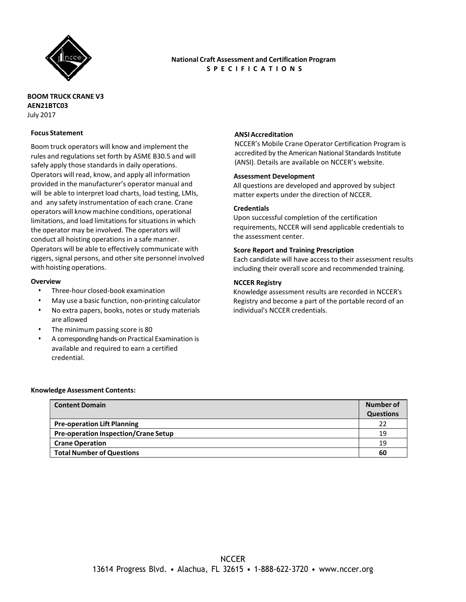

# **National Craft Assessment and Certification Program S P E C I F I C A T I O N S**

## **BOOM TRUCK CRANE V3 AEN21BTC03** July 2017

### **Focus Statement**

Boom truck operators will know and implement the rules and regulations set forth by ASME B30.5 and will safely apply those standards in daily operations. Operators will read, know, and apply all information provided in the manufacturer's operator manual and will be able to interpret load charts, load testing, LMIs, and any safety instrumentation of each crane. Crane operators will know machine conditions, operational limitations, and load limitations for situations in which the operator may be involved. The operators will conduct all hoisting operations in a safe manner. Operators will be able to effectively communicate with riggers, signal persons, and other site personnel involved with hoisting operations.

#### **Overview**

- Three-hour closed-book examination
- May use a basic function, non-printing calculator
- No extra papers, books, notes or study materials are allowed
- The minimum passing score is 80
- A corresponding hands-on Practical Examination is available and required to earn a certified credential.

#### **ANSI Accreditation**

NCCER's Mobile Crane Operator Certification Program is accredited by the American National Standards Institute (ANSI). Details are available on NCCER's website.

#### **Assessment Development**

All questions are developed and approved by subject matter experts under the direction of NCCER.

#### **Credentials**

Upon successful completion of the certification requirements, NCCER will send applicable credentials to the assessment center.

#### **Score Report and Training Prescription**

Each candidate will have access to their assessment results including their overall score and recommended training.

#### **NCCER Registry**

Knowledge assessment results are recorded in NCCER's Registry and become a part of the portable record of an individual's NCCER credentials.

#### **Knowledge Assessment Contents:**

| <b>Content Domain</b>                       | Number of        |
|---------------------------------------------|------------------|
|                                             | <b>Questions</b> |
| <b>Pre-operation Lift Planning</b>          | 22               |
| <b>Pre-operation Inspection/Crane Setup</b> | 19               |
| <b>Crane Operation</b>                      | 19               |
| <b>Total Number of Questions</b>            | 60               |